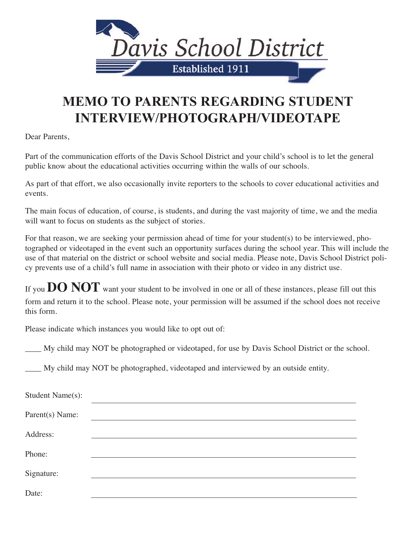

## **MEMO TO PARENTS REGARDING STUDENT INTERVIEW/PHOTOGRAPH/VIDEOTAPE**

Dear Parents,

Part of the communication efforts of the Davis School District and your child's school is to let the general public know about the educational activities occurring within the walls of our schools.

As part of that effort, we also occasionally invite reporters to the schools to cover educational activities and events.

The main focus of education, of course, is students, and during the vast majority of time, we and the media will want to focus on students as the subject of stories.

For that reason, we are seeking your permission ahead of time for your student(s) to be interviewed, photographed or videotaped in the event such an opportunity surfaces during the school year. This will include the use of that material on the district or school website and social media. Please note, Davis School District policy prevents use of a child's full name in association with their photo or video in any district use.

If you **DO NOT** want your student to be involved in one or all of these instances, please fill out this form and return it to the school. Please note, your permission will be assumed if the school does not receive this form.

Please indicate which instances you would like to opt out of:

\_\_\_\_ My child may NOT be photographed or videotaped, for use by Davis School District or the school.

\_\_\_\_ My child may NOT be photographed, videotaped and interviewed by an outside entity.

| Student Name(s): |  |
|------------------|--|
| Parent(s) Name:  |  |
| Address:         |  |
| Phone:           |  |
| Signature:       |  |
| Date:            |  |